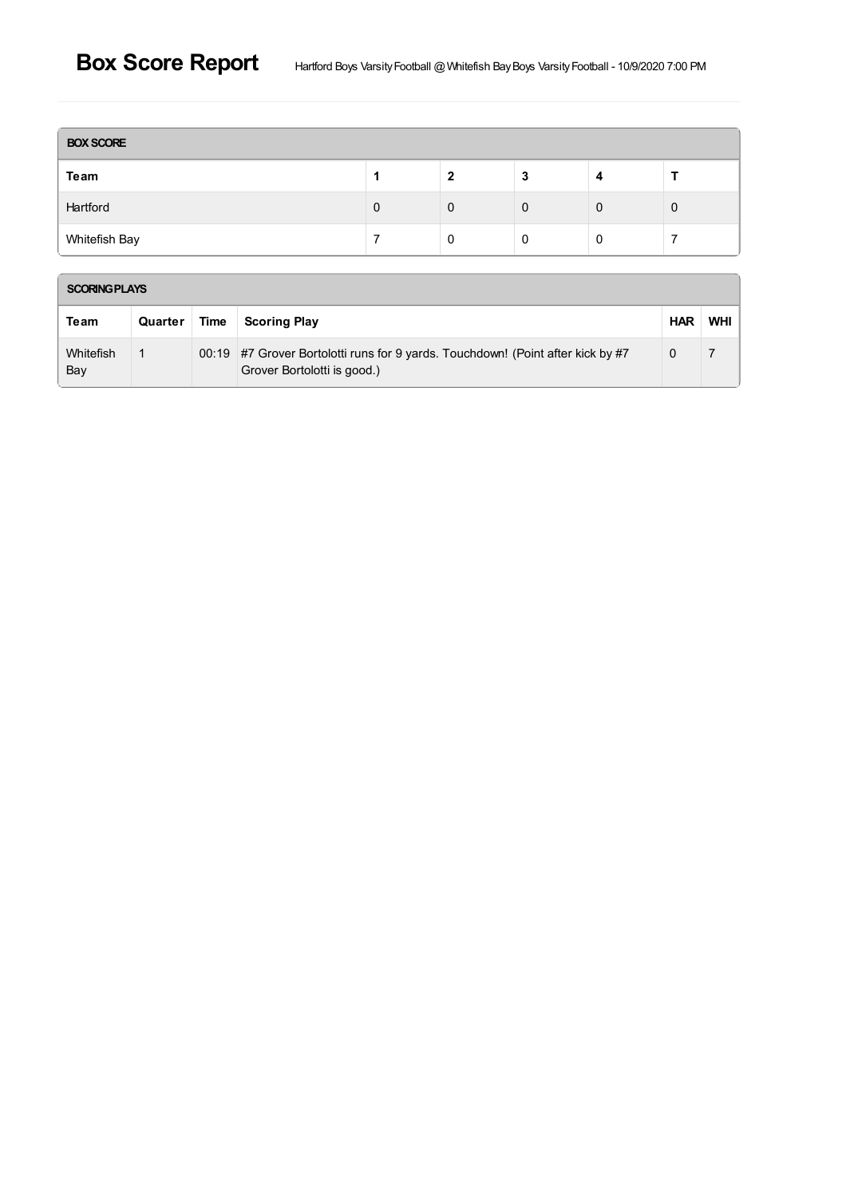| <b>BOX SCORE</b> |   |   |        |  |   |  |  |
|------------------|---|---|--------|--|---|--|--|
| Team             |   | י | n<br>a |  |   |  |  |
| Hartford         | 0 | 0 | 0      |  | 0 |  |  |
| Whitefish Bay    |   | O | 0      |  |   |  |  |

| <b>SCORING PLAYS</b> |         |             |                                                                                                                |            |     |  |  |  |  |
|----------------------|---------|-------------|----------------------------------------------------------------------------------------------------------------|------------|-----|--|--|--|--|
| Team                 | Quarter | <b>Time</b> | <b>Scoring Play</b>                                                                                            | <b>HAR</b> | WHI |  |  |  |  |
| Whitefish<br>Bay     |         |             | 00:19 #7 Grover Bortolotti runs for 9 yards. Touchdown! (Point after kick by #7<br>Grover Bortolotti is good.) | 0          |     |  |  |  |  |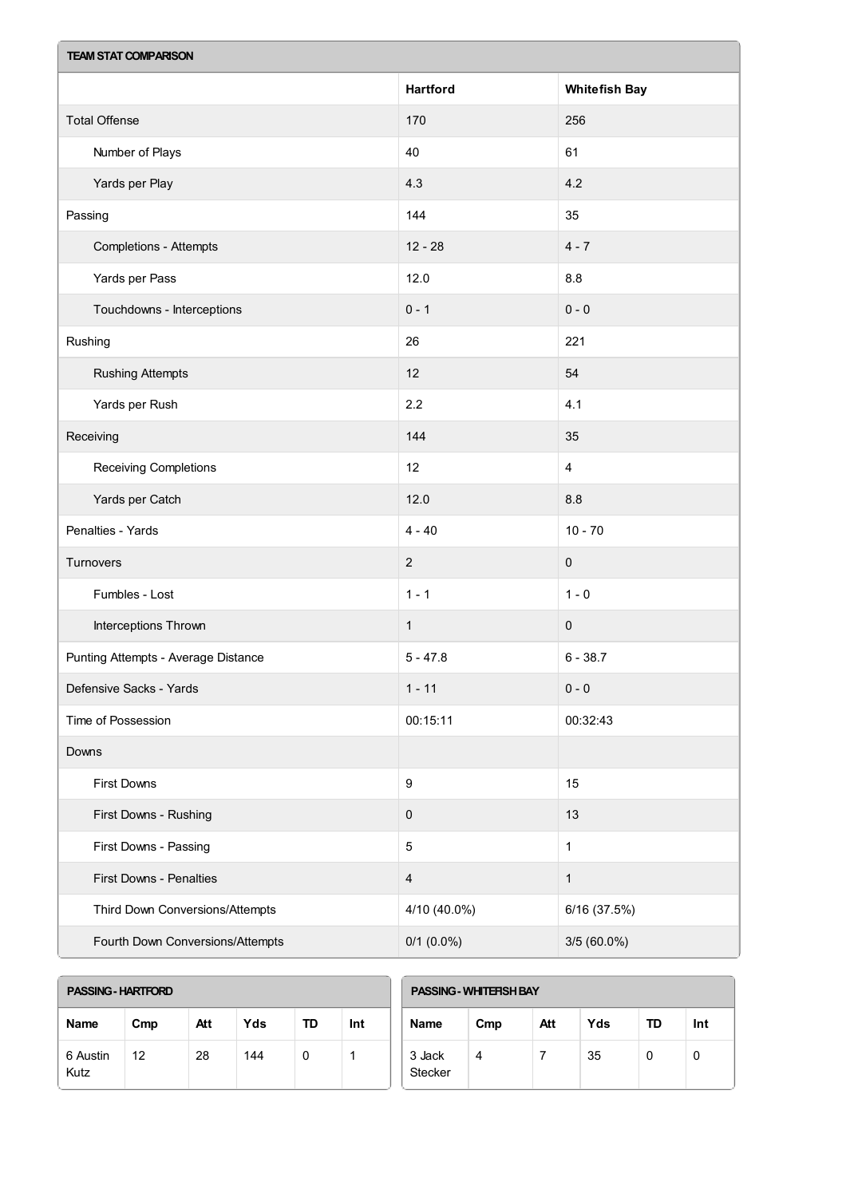| <b>TEAM STAT COMPARISON</b>         |                         |                         |  |  |  |  |
|-------------------------------------|-------------------------|-------------------------|--|--|--|--|
|                                     | <b>Hartford</b>         | <b>Whitefish Bay</b>    |  |  |  |  |
| <b>Total Offense</b>                | 170                     | 256                     |  |  |  |  |
| Number of Plays                     | 40                      | 61                      |  |  |  |  |
| Yards per Play                      | 4.3                     | 4.2                     |  |  |  |  |
| Passing                             | 144                     | 35                      |  |  |  |  |
| <b>Completions - Attempts</b>       | $12 - 28$               | $4 - 7$                 |  |  |  |  |
| Yards per Pass                      | 12.0                    | 8.8                     |  |  |  |  |
| Touchdowns - Interceptions          | $0 - 1$                 | $0 - 0$                 |  |  |  |  |
| Rushing                             | 26                      | 221                     |  |  |  |  |
| <b>Rushing Attempts</b>             | 12                      | 54                      |  |  |  |  |
| Yards per Rush                      | 2.2                     | 4.1                     |  |  |  |  |
| Receiving                           | 144                     | 35                      |  |  |  |  |
| Receiving Completions               | 12                      | $\overline{\mathbf{4}}$ |  |  |  |  |
| Yards per Catch                     | 12.0                    | 8.8                     |  |  |  |  |
| Penalties - Yards                   | $4 - 40$                | $10 - 70$               |  |  |  |  |
| Turnovers                           | $\overline{c}$          | $\pmb{0}$               |  |  |  |  |
| Fumbles - Lost                      | $1 - 1$                 | $1 - 0$                 |  |  |  |  |
| Interceptions Thrown                | $\mathbf{1}$            | $\pmb{0}$               |  |  |  |  |
| Punting Attempts - Average Distance | $5 - 47.8$              | $6 - 38.7$              |  |  |  |  |
| Defensive Sacks - Yards             | $1 - 11$                | $0 - 0$                 |  |  |  |  |
| Time of Possession                  | 00:15:11                | 00:32:43                |  |  |  |  |
| Downs                               |                         |                         |  |  |  |  |
| <b>First Downs</b>                  | $\boldsymbol{9}$        | 15                      |  |  |  |  |
| First Downs - Rushing               | $\pmb{0}$               | 13                      |  |  |  |  |
| First Downs - Passing               | $\sqrt{5}$              | $\mathbf{1}$            |  |  |  |  |
| First Downs - Penalties             | $\overline{\mathbf{4}}$ | $\mathbf{1}$            |  |  |  |  |
| Third Down Conversions/Attempts     | 4/10 (40.0%)            | 6/16 (37.5%)            |  |  |  |  |
| Fourth Down Conversions/Attempts    | $0/1$ (0.0%)            | $3/5(60.0\%)$           |  |  |  |  |

| <b>PASSING - HARTFORD</b> |     |     |     |    | <b>PASSING - WHITEFISH BAY</b> |                          |     |     |     |    |     |
|---------------------------|-----|-----|-----|----|--------------------------------|--------------------------|-----|-----|-----|----|-----|
| <b>Name</b>               | Cmp | Att | Yds | TD | Int                            | <b>Name</b>              | Cmp | Att | Yds | TD | Int |
| 6 Austin<br>Kutz          | 12  | 28  | 144 | 0  |                                | 3 Jack<br><b>Stecker</b> | 4   |     | 35  | 0  | 0   |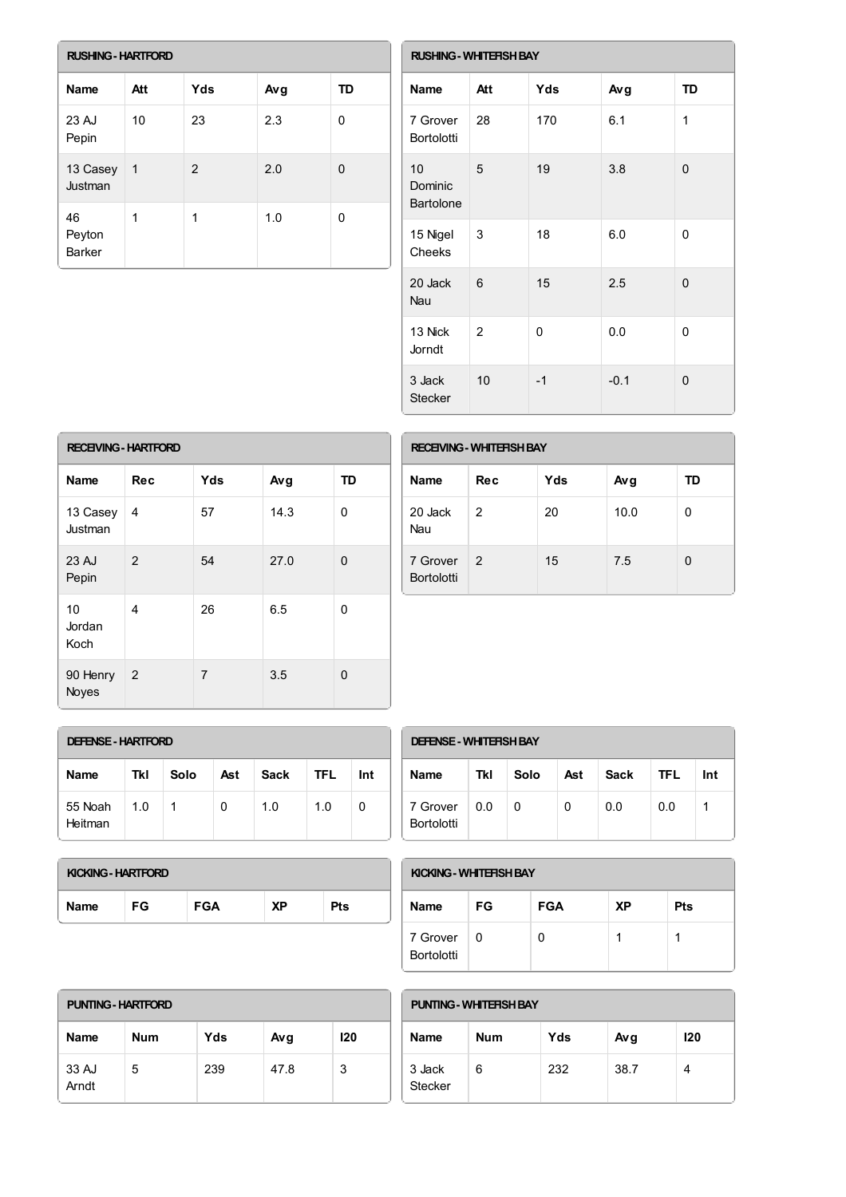| <b>RUSHING - HARTFORD</b> |                |               |     |    |  |  |  |  |
|---------------------------|----------------|---------------|-----|----|--|--|--|--|
| Name                      | Att            | Yds           | Avg | TD |  |  |  |  |
| 23 AJ<br>Pepin            | 10             | 23            | 2.3 | 0  |  |  |  |  |
| 13 Casey<br>Justman       | $\overline{1}$ | $\mathcal{P}$ | 2.0 | 0  |  |  |  |  |
| 46<br>Peyton<br>Barker    | 1              | 1             | 1.0 | 0  |  |  |  |  |

| <b>RUSHING - WHITEFISH BAY</b> |     |      |        |           |  |  |  |
|--------------------------------|-----|------|--------|-----------|--|--|--|
| <b>Name</b>                    | Att | Yds  | Avg    | <b>TD</b> |  |  |  |
| 7 Grover<br>Bortolotti         | 28  | 170  | 6.1    | 1         |  |  |  |
| 10<br>Dominic<br>Bartolone     | 5   | 19   | 3.8    | 0         |  |  |  |
| 15 Nigel<br>Cheeks             | 3   | 18   | 6.0    | 0         |  |  |  |
| 20 Jack<br><b>Nau</b>          | 6   | 15   | 2.5    | 0         |  |  |  |
| 13 Nick<br>Jorndt              | 2   | 0    | 0.0    | 0         |  |  |  |
| 3 Jack<br><b>Stecker</b>       | 10  | $-1$ | $-0.1$ | 0         |  |  |  |

| <b>RECEIVING - HARTFORD</b> |                |                |      |           |  |  |  |  |
|-----------------------------|----------------|----------------|------|-----------|--|--|--|--|
| <b>Name</b>                 | <b>Rec</b>     | Yds            | Avg  | <b>TD</b> |  |  |  |  |
| 13 Casey<br>Justman         | 4              | 57             | 14.3 | 0         |  |  |  |  |
| 23 AJ<br>Pepin              | 2              | 54             | 27.0 | $\Omega$  |  |  |  |  |
| 10<br>Jordan<br>Koch        | 4              | 26             | 6.5  | 0         |  |  |  |  |
| 90 Henry<br>Noyes           | $\overline{2}$ | $\overline{7}$ | 3.5  | 0         |  |  |  |  |

| <b>RECEIVING - WHITERSH BAY</b> |               |     |      |    |  |  |  |
|---------------------------------|---------------|-----|------|----|--|--|--|
| Name                            | Rec           | Yds | Avg  | TD |  |  |  |
| 20 Jack<br>Nau                  | 2             | 20  | 10.0 | 0  |  |  |  |
| 7 Grover<br><b>Bortolotti</b>   | $\mathcal{P}$ | 15  | 7.5  | 0  |  |  |  |

| <b>DEFENSE - HARTFORD</b> |     |      |     |             |            |     |  |
|---------------------------|-----|------|-----|-------------|------------|-----|--|
| <b>Name</b>               | Tkl | Solo | Ast | <b>Sack</b> | <b>TFL</b> | Int |  |
| 55 Noah<br>Heitman        | 1.0 | 1    | 0   | 1.0         | 1.0        | 0   |  |

| <b>DEFENSE - WHITERSH BAY</b> |     |      |     |      |      |     |  |
|-------------------------------|-----|------|-----|------|------|-----|--|
| <b>Name</b>                   | Tkl | Solo | Ast | Sack | TFL. | Int |  |
| 7 Grover<br>Bortolotti        | 0.0 | 0    | 0   | 0.0  | 0.0  |     |  |

| KICKING - HARTFORD |     |            |    |            |  |  |  |
|--------------------|-----|------------|----|------------|--|--|--|
| <b>Name</b>        | FG. | <b>FGA</b> | ΧP | <b>Pts</b> |  |  |  |

| KICKING - WHITERSH BAY        |     |            |    |     |  |  |
|-------------------------------|-----|------------|----|-----|--|--|
| <b>Name</b>                   | FG  | <b>FGA</b> | ХP | Pts |  |  |
| 7 Grover<br><b>Bortolotti</b> | - 0 | U          |    |     |  |  |

| <b>PUNTING - HARTFORD</b> |            |     |      |     |  |  |
|---------------------------|------------|-----|------|-----|--|--|
| Name                      | <b>Num</b> | Yds | Avg  | 120 |  |  |
| 33 AJ<br>Arndt            | 5          | 239 | 47.8 | 3   |  |  |

| <b>PUNTING - WHITERSH BAY</b> |            |     |      |     |  |
|-------------------------------|------------|-----|------|-----|--|
| <b>Name</b>                   | <b>Num</b> | Yds | Avg  | 120 |  |
| 3 Jack<br><b>Stecker</b>      | 6          | 232 | 38.7 |     |  |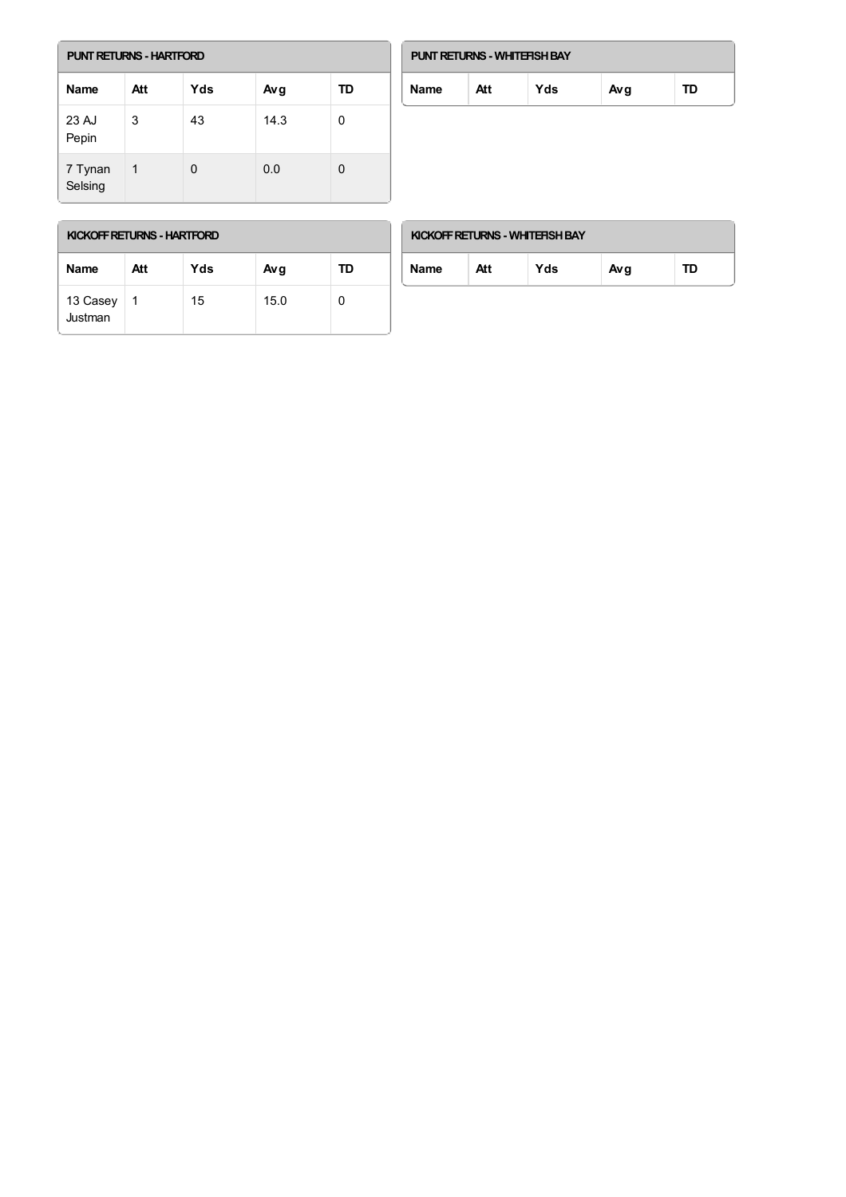| <b>PUNT RETURNS - HARTFORD</b> |     |     |      |    |  |  |
|--------------------------------|-----|-----|------|----|--|--|
| Name                           | Att | Yds | Avg  | TD |  |  |
| 23 AJ<br>Pepin                 | 3   | 43  | 14.3 | 0  |  |  |
| 7 Tynan<br>Selsing             | 1   | 0   | 0.0  | 0  |  |  |

| <b>PUNT RETURNS - WHITERSH BAY</b> |     |     |     |    |  |  |
|------------------------------------|-----|-----|-----|----|--|--|
| <b>Name</b>                        | Att | Yds | Avg | TD |  |  |

г

| <b>Name</b>         | Att | Yds | Avg  | TD |
|---------------------|-----|-----|------|----|
| 13 Casey<br>Justman | 1   | 15  | 15.0 |    |

| KICKOFF RETURNS - WHITERSH BAY |     |     |     |    |  |  |
|--------------------------------|-----|-----|-----|----|--|--|
| Name                           | Att | Yds | Avg | TD |  |  |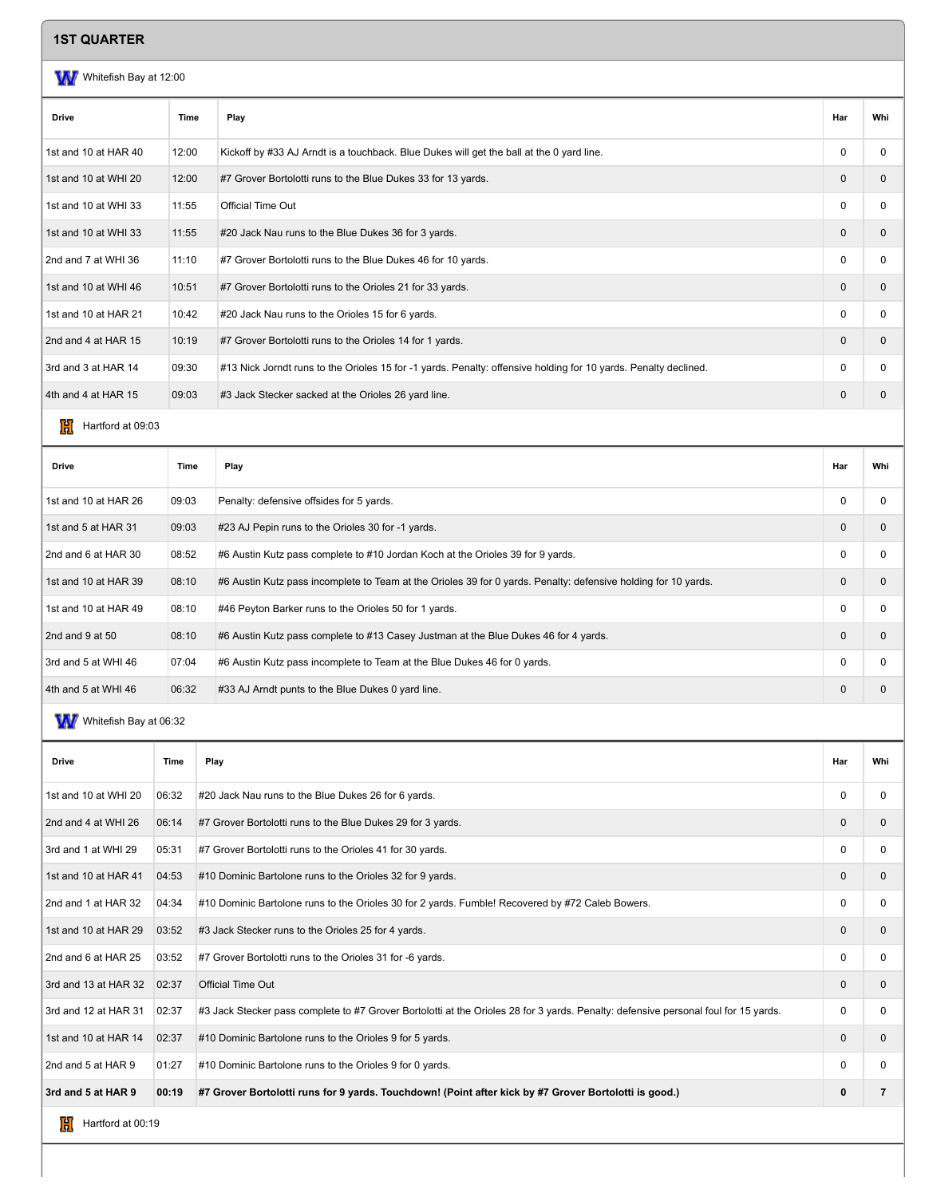## **1ST QUARTER**

#### WW Whitefish Bay at 12:00

| Har<br>Drive<br>Whi<br>Time<br>Play<br>1st and 10 at HAR 40<br>12:00<br>Kickoff by #33 AJ Arndt is a touchback. Blue Dukes will get the ball at the 0 yard line.<br>$\Omega$<br>$\Omega$<br>1st and 10 at WHI 20<br>$\mathbf{0}$<br>12:00<br>#7 Grover Bortolotti runs to the Blue Dukes 33 for 13 yards.<br>$\mathbf{0}$<br>1st and 10 at WHI 33<br><b>Official Time Out</b><br>11:55<br>0<br>0<br>1st and 10 at WHI 33<br>11:55<br>#20 Jack Nau runs to the Blue Dukes 36 for 3 yards.<br>$\Omega$<br>$\mathbf 0$<br>2nd and 7 at WHI 36<br>11:10<br>#7 Grover Bortolotti runs to the Blue Dukes 46 for 10 yards.<br>$\Omega$<br>$\Omega$<br>1st and 10 at WHI 46<br>#7 Grover Bortolotti runs to the Orioles 21 for 33 yards.<br>$\mathbf{0}$<br>10:51<br>$\mathbf{0}$<br>1st and 10 at HAR 21<br>10:42<br>#20 Jack Nau runs to the Orioles 15 for 6 yards.<br>$\Omega$<br>$\Omega$<br>2nd and 4 at HAR 15<br>10:19<br>#7 Grover Bortolotti runs to the Orioles 14 for 1 yards.<br>$\mathbf{0}$<br>$\mathbf{0}$<br>3rd and 3 at HAR 14<br>09:30<br>#13 Nick Jorndt runs to the Orioles 15 for -1 yards. Penalty: offensive holding for 10 yards. Penalty declined.<br>0<br>0<br>4th and 4 at HAR 15<br>09:03<br>#3 Jack Stecker sacked at the Orioles 26 yard line.<br>$\mathbf{0}$<br>$\mathbf{0}$ |  |  |  |
|--------------------------------------------------------------------------------------------------------------------------------------------------------------------------------------------------------------------------------------------------------------------------------------------------------------------------------------------------------------------------------------------------------------------------------------------------------------------------------------------------------------------------------------------------------------------------------------------------------------------------------------------------------------------------------------------------------------------------------------------------------------------------------------------------------------------------------------------------------------------------------------------------------------------------------------------------------------------------------------------------------------------------------------------------------------------------------------------------------------------------------------------------------------------------------------------------------------------------------------------------------------------------------------------------------|--|--|--|
|                                                                                                                                                                                                                                                                                                                                                                                                                                                                                                                                                                                                                                                                                                                                                                                                                                                                                                                                                                                                                                                                                                                                                                                                                                                                                                        |  |  |  |
|                                                                                                                                                                                                                                                                                                                                                                                                                                                                                                                                                                                                                                                                                                                                                                                                                                                                                                                                                                                                                                                                                                                                                                                                                                                                                                        |  |  |  |
|                                                                                                                                                                                                                                                                                                                                                                                                                                                                                                                                                                                                                                                                                                                                                                                                                                                                                                                                                                                                                                                                                                                                                                                                                                                                                                        |  |  |  |
|                                                                                                                                                                                                                                                                                                                                                                                                                                                                                                                                                                                                                                                                                                                                                                                                                                                                                                                                                                                                                                                                                                                                                                                                                                                                                                        |  |  |  |
|                                                                                                                                                                                                                                                                                                                                                                                                                                                                                                                                                                                                                                                                                                                                                                                                                                                                                                                                                                                                                                                                                                                                                                                                                                                                                                        |  |  |  |
|                                                                                                                                                                                                                                                                                                                                                                                                                                                                                                                                                                                                                                                                                                                                                                                                                                                                                                                                                                                                                                                                                                                                                                                                                                                                                                        |  |  |  |
|                                                                                                                                                                                                                                                                                                                                                                                                                                                                                                                                                                                                                                                                                                                                                                                                                                                                                                                                                                                                                                                                                                                                                                                                                                                                                                        |  |  |  |
|                                                                                                                                                                                                                                                                                                                                                                                                                                                                                                                                                                                                                                                                                                                                                                                                                                                                                                                                                                                                                                                                                                                                                                                                                                                                                                        |  |  |  |
|                                                                                                                                                                                                                                                                                                                                                                                                                                                                                                                                                                                                                                                                                                                                                                                                                                                                                                                                                                                                                                                                                                                                                                                                                                                                                                        |  |  |  |
|                                                                                                                                                                                                                                                                                                                                                                                                                                                                                                                                                                                                                                                                                                                                                                                                                                                                                                                                                                                                                                                                                                                                                                                                                                                                                                        |  |  |  |
|                                                                                                                                                                                                                                                                                                                                                                                                                                                                                                                                                                                                                                                                                                                                                                                                                                                                                                                                                                                                                                                                                                                                                                                                                                                                                                        |  |  |  |

 $\frac{1}{10}$  Hartford at 09:03

| <b>Drive</b>         | Time  | Play                                                                                                           | Har            | Whi |
|----------------------|-------|----------------------------------------------------------------------------------------------------------------|----------------|-----|
| 1st and 10 at HAR 26 | 09:03 | Penalty: defensive offsides for 5 yards.                                                                       | C              | 0   |
| 1st and 5 at HAR 31  | 09:03 | #23 AJ Pepin runs to the Orioles 30 for -1 yards.                                                              | $\overline{0}$ | 0   |
| 2nd and 6 at HAR 30  | 08:52 | #6 Austin Kutz pass complete to #10 Jordan Koch at the Orioles 39 for 9 yards.                                 | $\Omega$       | 0   |
| 1st and 10 at HAR 39 | 08:10 | #6 Austin Kutz pass incomplete to Team at the Orioles 39 for 0 yards. Penalty: defensive holding for 10 yards. | $\Omega$       | 0   |
| 1st and 10 at HAR 49 | 08:10 | #46 Peyton Barker runs to the Orioles 50 for 1 yards.                                                          | $\Omega$       | 0   |
| 2nd and 9 at 50      | 08:10 | #6 Austin Kutz pass complete to #13 Casey Justman at the Blue Dukes 46 for 4 yards.                            | $\mathbf 0$    | 0   |
| 3rd and 5 at WHI 46  | 07:04 | #6 Austin Kutz pass incomplete to Team at the Blue Dukes 46 for 0 yards.                                       | $\Omega$       | 0   |
| 4th and 5 at WHI 46  | 06:32 | #33 AJ Arndt punts to the Blue Dukes 0 yard line.                                                              | $\overline{0}$ |     |

# W Whitefish Bay at 06:32

| <b>Drive</b>           | Time  | Play                                                                                                                                | Har          | Whi            |
|------------------------|-------|-------------------------------------------------------------------------------------------------------------------------------------|--------------|----------------|
| 1st and 10 at WHI 20   | 06:32 | #20 Jack Nau runs to the Blue Dukes 26 for 6 yards.                                                                                 | $\Omega$     | $\Omega$       |
| 2nd and 4 at WHI 26    | 06:14 | #7 Grover Bortolotti runs to the Blue Dukes 29 for 3 yards.                                                                         | $\Omega$     | 0              |
| 3rd and 1 at WHI 29    | 05:31 | #7 Grover Bortolotti runs to the Orioles 41 for 30 yards.                                                                           | $\Omega$     | 0              |
| 1st and 10 at HAR 41   | 04:53 | #10 Dominic Bartolone runs to the Orioles 32 for 9 yards.                                                                           | $\Omega$     | 0              |
| 2nd and 1 at HAR 32    | 04:34 | #10 Dominic Bartolone runs to the Orioles 30 for 2 yards. Fumble! Recovered by #72 Caleb Bowers.                                    | 0            | 0              |
| 1st and 10 at HAR 29   | 03:52 | #3 Jack Stecker runs to the Orioles 25 for 4 yards.                                                                                 | $\mathbf{0}$ | $\mathbf 0$    |
| 2nd and 6 at HAR 25    | 03:52 | #7 Grover Bortolotti runs to the Orioles 31 for -6 yards.                                                                           | $\Omega$     | 0              |
| 3rd and 13 at HAR 32   | 02:37 | <b>Official Time Out</b>                                                                                                            | $\mathbf{0}$ | $\mathbf{0}$   |
| 3rd and 12 at HAR 31   | 02:37 | #3 Jack Stecker pass complete to #7 Grover Bortolotti at the Orioles 28 for 3 yards. Penalty: defensive personal foul for 15 yards. | $\Omega$     | $\Omega$       |
| 1st and 10 at HAR 14   | 02:37 | #10 Dominic Bartolone runs to the Orioles 9 for 5 yards.                                                                            | $\mathbf{0}$ | $\mathbf{0}$   |
| 2nd and 5 at HAR 9     | 01:27 | #10 Dominic Bartolone runs to the Orioles 9 for 0 yards.                                                                            | $\Omega$     | $\Omega$       |
| 3rd and 5 at HAR 9     | 00:19 | #7 Grover Bortolotti runs for 9 yards. Touchdown! (Point after kick by #7 Grover Bortolotti is good.)                               | 0            | $\overline{7}$ |
| 胤<br>Hartford at 00:19 |       |                                                                                                                                     |              |                |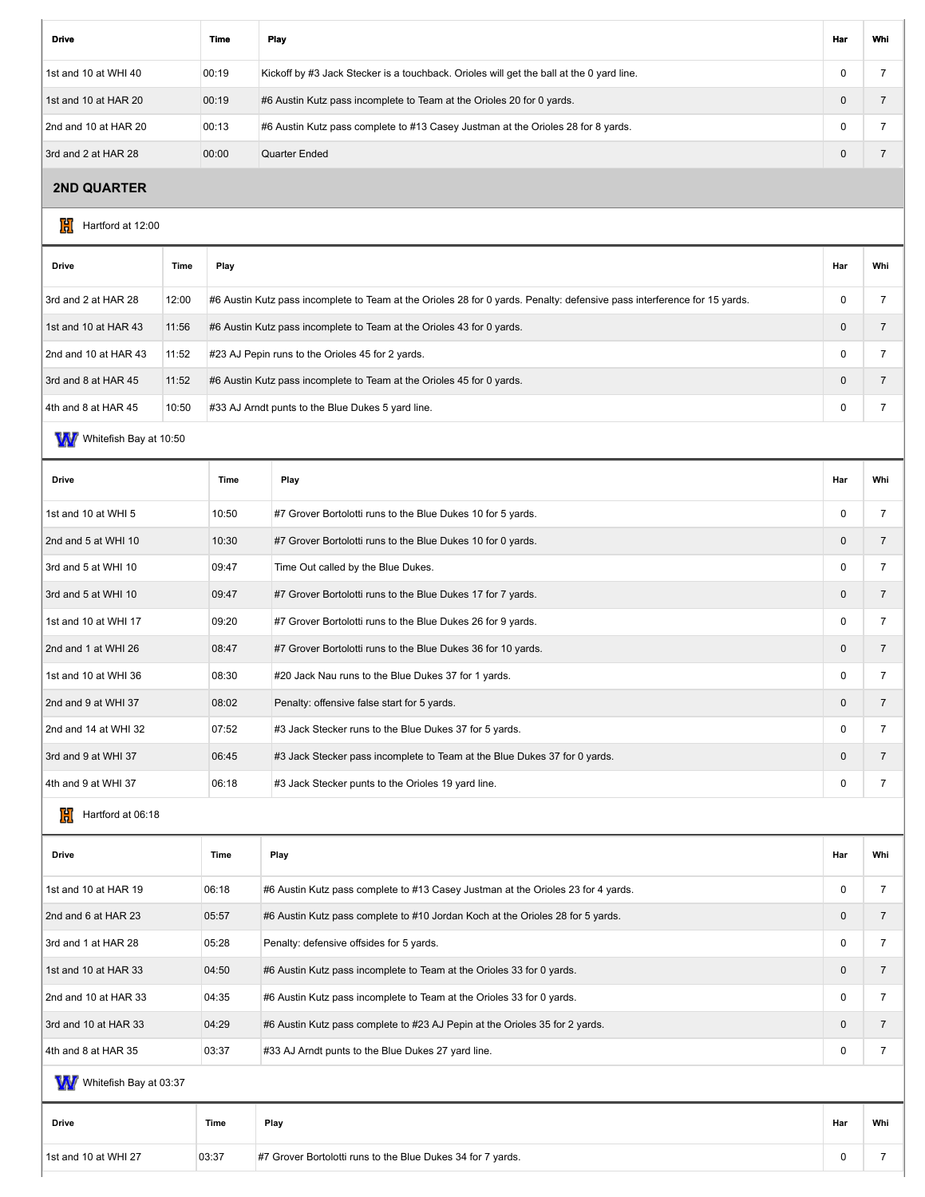| <b>Drive</b>         | Time  | Play                                                                                     | Har      | Whi |
|----------------------|-------|------------------------------------------------------------------------------------------|----------|-----|
| 1st and 10 at WHI 40 | 00:19 | Kickoff by #3 Jack Stecker is a touchback. Orioles will get the ball at the 0 yard line. | 0        |     |
| 1st and 10 at HAR 20 | 00:19 | #6 Austin Kutz pass incomplete to Team at the Orioles 20 for 0 yards.                    | $\Omega$ |     |
| 2nd and 10 at HAR 20 | 00:13 | #6 Austin Kutz pass complete to #13 Casey Justman at the Orioles 28 for 8 yards.         | 0        |     |
| 3rd and 2 at HAR 28  | 00:00 | Quarter Ended                                                                            | 0        |     |

## **2ND QUARTER**

 $\frac{1}{2}$  Hartford at 12:00

| <b>Drive</b>         | Time  | Play                                                                                                                     | Har          | Whi |
|----------------------|-------|--------------------------------------------------------------------------------------------------------------------------|--------------|-----|
| 3rd and 2 at HAR 28  | 12:00 | #6 Austin Kutz pass incomplete to Team at the Orioles 28 for 0 yards. Penalty: defensive pass interference for 15 yards. | C            |     |
| 1st and 10 at HAR 43 | 11:56 | #6 Austin Kutz pass incomplete to Team at the Orioles 43 for 0 yards.                                                    | $\mathbf 0$  |     |
| 2nd and 10 at HAR 43 | 11:52 | #23 AJ Pepin runs to the Orioles 45 for 2 yards.                                                                         | C            |     |
| 3rd and 8 at HAR 45  | 11:52 | #6 Austin Kutz pass incomplete to Team at the Orioles 45 for 0 yards.                                                    | $\mathbf{0}$ |     |
| 4th and 8 at HAR 45  | 10:50 | #33 AJ Arndt punts to the Blue Dukes 5 yard line.                                                                        | C            |     |
|                      |       |                                                                                                                          |              |     |

W Whitefish Bay at 10:50

| <b>Drive</b>         | Time  | Play                                                                      | Har          | Whi |
|----------------------|-------|---------------------------------------------------------------------------|--------------|-----|
| 1st and 10 at WHI 5  | 10:50 | #7 Grover Bortolotti runs to the Blue Dukes 10 for 5 yards.               | $\Omega$     |     |
| 2nd and 5 at WHI 10  | 10:30 | #7 Grover Bortolotti runs to the Blue Dukes 10 for 0 yards.               | $\mathbf{0}$ |     |
| 3rd and 5 at WHI 10  | 09:47 | Time Out called by the Blue Dukes.                                        | $\mathbf 0$  |     |
| 3rd and 5 at WHI 10  | 09:47 | #7 Grover Bortolotti runs to the Blue Dukes 17 for 7 yards.               | $\mathbf{0}$ |     |
| 1st and 10 at WHI 17 | 09:20 | #7 Grover Bortolotti runs to the Blue Dukes 26 for 9 yards.               | $\mathbf 0$  |     |
| 2nd and 1 at WHI 26  | 08:47 | #7 Grover Bortolotti runs to the Blue Dukes 36 for 10 yards.              | $\mathbf{0}$ |     |
| 1st and 10 at WHI 36 | 08:30 | #20 Jack Nau runs to the Blue Dukes 37 for 1 yards.                       | 0            |     |
| 2nd and 9 at WHI 37  | 08:02 | Penalty: offensive false start for 5 yards.                               | $\mathbf{0}$ |     |
| 2nd and 14 at WHI 32 | 07:52 | #3 Jack Stecker runs to the Blue Dukes 37 for 5 yards.                    | $\mathbf 0$  |     |
| 3rd and 9 at WHI 37  | 06:45 | #3 Jack Stecker pass incomplete to Team at the Blue Dukes 37 for 0 yards. | $\mathbf{0}$ |     |
| 4th and 9 at WHI 37  | 06:18 | #3 Jack Stecker punts to the Orioles 19 yard line.                        | 0            |     |

## $\frac{1}{10}$  Hartford at 06:18

| <b>Drive</b>         | Time  | Play                                                                             | Har          | Whi |
|----------------------|-------|----------------------------------------------------------------------------------|--------------|-----|
| 1st and 10 at HAR 19 | 06:18 | #6 Austin Kutz pass complete to #13 Casey Justman at the Orioles 23 for 4 yards. | $\Omega$     |     |
| 2nd and 6 at HAR 23  | 05:57 | #6 Austin Kutz pass complete to #10 Jordan Koch at the Orioles 28 for 5 yards.   | $\mathbf{0}$ |     |
| 3rd and 1 at HAR 28  | 05:28 | Penalty: defensive offsides for 5 yards.                                         | $\Omega$     |     |
| 1st and 10 at HAR 33 | 04:50 | #6 Austin Kutz pass incomplete to Team at the Orioles 33 for 0 yards.            | $\Omega$     |     |
| 2nd and 10 at HAR 33 | 04:35 | #6 Austin Kutz pass incomplete to Team at the Orioles 33 for 0 yards.            | $\Omega$     |     |
| 3rd and 10 at HAR 33 | 04:29 | #6 Austin Kutz pass complete to #23 AJ Pepin at the Orioles 35 for 2 yards.      | $\mathbf{0}$ |     |
| 4th and 8 at HAR 35  | 03:37 | #33 AJ Arndt punts to the Blue Dukes 27 yard line.                               | $\Omega$     |     |
| ---                  |       |                                                                                  |              |     |

W Whitefish Bay at 03:37

| #7 Grover Bortolotti runs to the Blue Dukes 34 for 7 yards.<br>03:37<br>1st and 10 at WHI 27 |  |
|----------------------------------------------------------------------------------------------|--|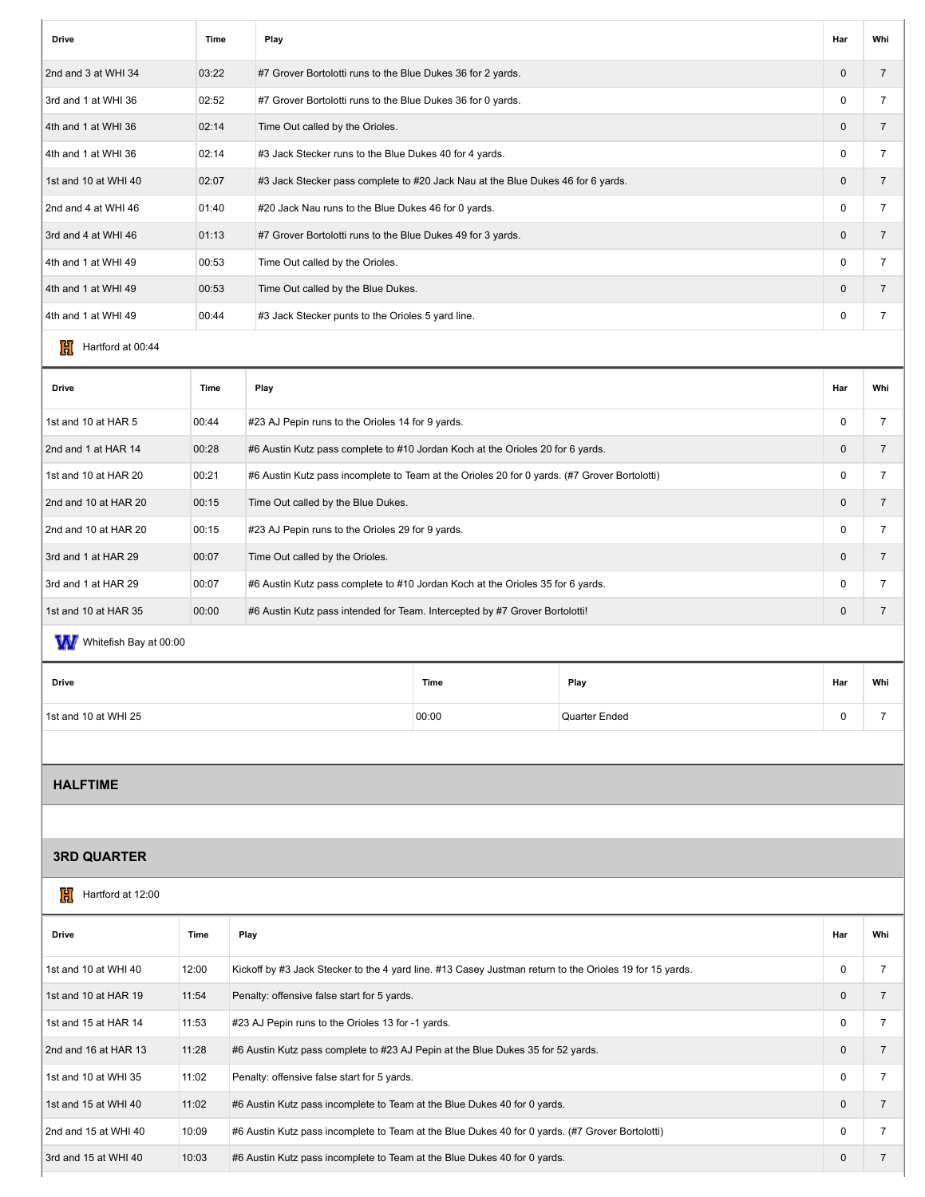| <b>Drive</b>         | <b>Time</b> | Play                                                                            | Har          | Whi            |
|----------------------|-------------|---------------------------------------------------------------------------------|--------------|----------------|
| 2nd and 3 at WHI 34  | 03:22       | #7 Grover Bortolotti runs to the Blue Dukes 36 for 2 yards.                     | $\mathbf{0}$ |                |
| 3rd and 1 at WHI 36  | 02:52       | #7 Grover Bortolotti runs to the Blue Dukes 36 for 0 yards.                     | $\Omega$     |                |
| 4th and 1 at WHI 36  | 02:14       | Time Out called by the Orioles.                                                 | $\mathbf{0}$ |                |
| 4th and 1 at WHI 36  | 02:14       | #3 Jack Stecker runs to the Blue Dukes 40 for 4 yards.                          | 0            |                |
| 1st and 10 at WHI 40 | 02:07       | #3 Jack Stecker pass complete to #20 Jack Nau at the Blue Dukes 46 for 6 yards. | $\mathbf{0}$ | $\overline{7}$ |
| 2nd and 4 at WHI 46  | 01:40       | #20 Jack Nau runs to the Blue Dukes 46 for 0 yards.                             | $\Omega$     |                |
| 3rd and 4 at WHI 46  | 01:13       | #7 Grover Bortolotti runs to the Blue Dukes 49 for 3 yards.                     | $\mathbf{0}$ | $\overline{7}$ |
| 4th and 1 at WHI 49  | 00:53       | Time Out called by the Orioles.                                                 | $\Omega$     |                |
| 4th and 1 at WHI 49  | 00:53       | Time Out called by the Blue Dukes.                                              | $\mathbf{0}$ | 7              |
| 4th and 1 at WHI 49  | 00:44       | #3 Jack Stecker punts to the Orioles 5 yard line.                               | 0            |                |
|                      |             |                                                                                 |              |                |

## $\frac{1}{10}$  Hartford at 00:44

| <b>Drive</b>         | Time  | Play                                                                                         | Har          | Whi |
|----------------------|-------|----------------------------------------------------------------------------------------------|--------------|-----|
| 1st and 10 at HAR 5  | 00:44 | #23 AJ Pepin runs to the Orioles 14 for 9 yards.                                             | $\Omega$     |     |
| 2nd and 1 at HAR 14  | 00:28 | #6 Austin Kutz pass complete to #10 Jordan Koch at the Orioles 20 for 6 yards.               | $\Omega$     |     |
| 1st and 10 at HAR 20 | 00:21 | #6 Austin Kutz pass incomplete to Team at the Orioles 20 for 0 yards. (#7 Grover Bortolotti) | $\Omega$     |     |
| 2nd and 10 at HAR 20 | 00:15 | Time Out called by the Blue Dukes.                                                           | $\Omega$     |     |
| 2nd and 10 at HAR 20 | 00:15 | #23 AJ Pepin runs to the Orioles 29 for 9 yards.                                             | $\Omega$     |     |
| 3rd and 1 at HAR 29  | 00:07 | Time Out called by the Orioles.                                                              | $\Omega$     |     |
| 3rd and 1 at HAR 29  | 00:07 | #6 Austin Kutz pass complete to #10 Jordan Koch at the Orioles 35 for 6 yards.               | 0            |     |
| 1st and 10 at HAR 35 | 00:00 | #6 Austin Kutz pass intended for Team. Intercepted by #7 Grover Bortolotti!                  | $\mathbf{0}$ |     |
|                      |       |                                                                                              |              |     |

# W Whitefish Bay at 00:00

| Drive                | Time  | Play          | Har | Whi |
|----------------------|-------|---------------|-----|-----|
| 1st and 10 at WHI 25 | 00:00 | Quarter Ended |     |     |

## **HALFTIME**

## **3RD QUARTER**

|  | Hartford at 12:00 |
|--|-------------------|
|--|-------------------|

| <b>Drive</b>         | Time  | Play                                                                                                    | Har          | Whi |
|----------------------|-------|---------------------------------------------------------------------------------------------------------|--------------|-----|
| 1st and 10 at WHI 40 | 12:00 | Kickoff by #3 Jack Stecker to the 4 yard line. #13 Casey Justman return to the Orioles 19 for 15 yards. | $\Omega$     |     |
| 1st and 10 at HAR 19 | 11:54 | Penalty: offensive false start for 5 yards.                                                             | $\Omega$     |     |
| 1st and 15 at HAR 14 | 11:53 | #23 AJ Pepin runs to the Orioles 13 for -1 yards.                                                       | $\Omega$     |     |
| 2nd and 16 at HAR 13 | 11:28 | #6 Austin Kutz pass complete to #23 AJ Pepin at the Blue Dukes 35 for 52 yards.                         | $\mathbf{0}$ |     |
| 1st and 10 at WHI 35 | 11:02 | Penalty: offensive false start for 5 yards.                                                             | $\Omega$     |     |
| 1st and 15 at WHI 40 | 11:02 | #6 Austin Kutz pass incomplete to Team at the Blue Dukes 40 for 0 yards.                                | $\Omega$     |     |
| 2nd and 15 at WHI 40 | 10:09 | #6 Austin Kutz pass incomplete to Team at the Blue Dukes 40 for 0 yards. (#7 Grover Bortolotti)         | $\Omega$     |     |
| 3rd and 15 at WHI 40 | 10:03 | #6 Austin Kutz pass incomplete to Team at the Blue Dukes 40 for 0 yards.                                | $\mathbf{0}$ |     |
|                      |       |                                                                                                         |              |     |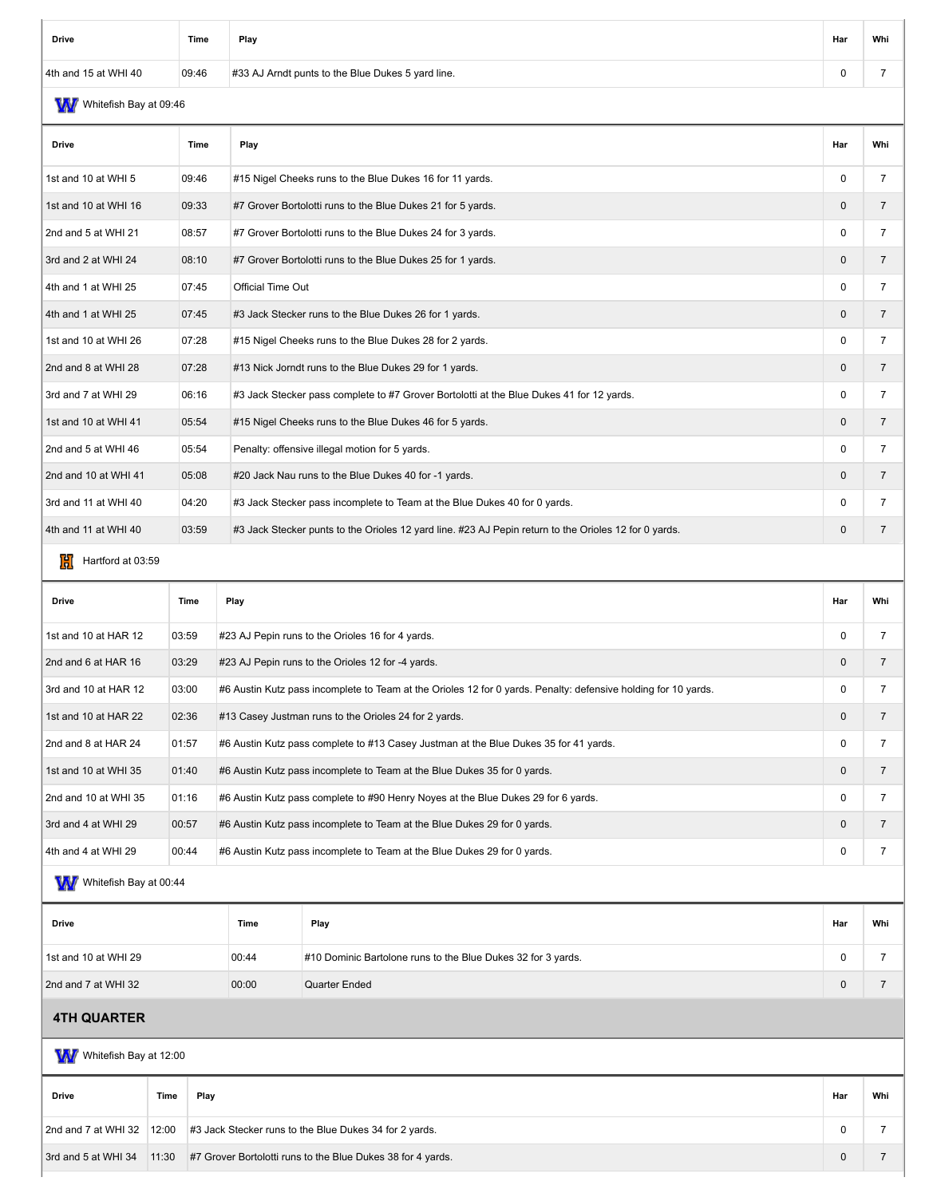| Drive                | Time  | Play                                              | Har | Whi |
|----------------------|-------|---------------------------------------------------|-----|-----|
| 4th and 15 at WHI 40 | 09:46 | #33 AJ Arndt punts to the Blue Dukes 5 yard line. |     |     |

# W Whitefish Bay at 09:46

| <b>Drive</b>         | Time  | Play                                                                                                  | Har          | Whi            |
|----------------------|-------|-------------------------------------------------------------------------------------------------------|--------------|----------------|
| 1st and 10 at WHI 5  | 09:46 | #15 Nigel Cheeks runs to the Blue Dukes 16 for 11 yards.                                              | $\mathbf 0$  | 7              |
| 1st and 10 at WHI 16 | 09:33 | #7 Grover Bortolotti runs to the Blue Dukes 21 for 5 yards.                                           | $\mathbf 0$  | $\overline{7}$ |
| 2nd and 5 at WHI 21  | 08:57 | #7 Grover Bortolotti runs to the Blue Dukes 24 for 3 yards.                                           | 0            | 7              |
| 3rd and 2 at WHI 24  | 08:10 | #7 Grover Bortolotti runs to the Blue Dukes 25 for 1 yards.                                           | $\mathbf{0}$ |                |
| 4th and 1 at WHI 25  | 07:45 | Official Time Out                                                                                     | $\Omega$     | $\overline{7}$ |
| 4th and 1 at WHI 25  | 07:45 | #3 Jack Stecker runs to the Blue Dukes 26 for 1 yards.                                                | $\mathbf 0$  | $\overline{7}$ |
| 1st and 10 at WHI 26 | 07:28 | #15 Nigel Cheeks runs to the Blue Dukes 28 for 2 yards.                                               | 0            | 7              |
| 2nd and 8 at WHI 28  | 07:28 | #13 Nick Jorndt runs to the Blue Dukes 29 for 1 yards.                                                | $\mathbf 0$  | $\overline{7}$ |
| 3rd and 7 at WHI 29  | 06:16 | #3 Jack Stecker pass complete to #7 Grover Bortolotti at the Blue Dukes 41 for 12 yards.              | 0            |                |
| 1st and 10 at WHI 41 | 05:54 | #15 Nigel Cheeks runs to the Blue Dukes 46 for 5 yards.                                               | $\mathbf 0$  | $\overline{7}$ |
| 2nd and 5 at WHI 46  | 05:54 | Penalty: offensive illegal motion for 5 yards.                                                        | $\mathbf 0$  | 7              |
| 2nd and 10 at WHI 41 | 05:08 | #20 Jack Nau runs to the Blue Dukes 40 for -1 yards.                                                  | $\mathbf 0$  | $\overline{7}$ |
| 3rd and 11 at WHI 40 | 04:20 | #3 Jack Stecker pass incomplete to Team at the Blue Dukes 40 for 0 yards.                             | 0            |                |
| 4th and 11 at WHI 40 | 03:59 | #3 Jack Stecker punts to the Orioles 12 yard line. #23 AJ Pepin return to the Orioles 12 for 0 yards. | $\mathbf 0$  | $\overline{7}$ |

## $H$  Hartford at 03:59

| <b>Drive</b>         | Time  | Play                                                                                                           | Har      | Whi |
|----------------------|-------|----------------------------------------------------------------------------------------------------------------|----------|-----|
| 1st and 10 at HAR 12 | 03:59 | #23 AJ Pepin runs to the Orioles 16 for 4 yards.                                                               | $\Omega$ |     |
| 2nd and 6 at HAR 16  | 03:29 | #23 AJ Pepin runs to the Orioles 12 for -4 yards.                                                              | $\Omega$ |     |
| 3rd and 10 at HAR 12 | 03:00 | #6 Austin Kutz pass incomplete to Team at the Orioles 12 for 0 yards. Penalty: defensive holding for 10 yards. | $\Omega$ |     |
| 1st and 10 at HAR 22 | 02:36 | #13 Casey Justman runs to the Orioles 24 for 2 yards.                                                          | $\Omega$ |     |
| 2nd and 8 at HAR 24  | 01:57 | #6 Austin Kutz pass complete to #13 Casey Justman at the Blue Dukes 35 for 41 yards.                           | $\Omega$ |     |
| 1st and 10 at WHI 35 | 01:40 | #6 Austin Kutz pass incomplete to Team at the Blue Dukes 35 for 0 yards.                                       | $\Omega$ |     |
| 2nd and 10 at WHI 35 | 01:16 | #6 Austin Kutz pass complete to #90 Henry Noyes at the Blue Dukes 29 for 6 yards.                              | $\Omega$ |     |
| 3rd and 4 at WHI 29  | 00:57 | #6 Austin Kutz pass incomplete to Team at the Blue Dukes 29 for 0 yards.                                       | $\Omega$ |     |
| 4th and 4 at WHI 29  | 00:44 | #6 Austin Kutz pass incomplete to Team at the Blue Dukes 29 for 0 yards.                                       | $\Omega$ |     |

#### W/Whitefish Bay at 00:44

| Drive                | Time  | Play                                                         | Har | Whi |
|----------------------|-------|--------------------------------------------------------------|-----|-----|
| 1st and 10 at WHI 29 | 00:44 | #10 Dominic Bartolone runs to the Blue Dukes 32 for 3 yards. |     |     |
| 2nd and 7 at WHI 32  | 00:00 | Quarter Ended                                                |     |     |

## **4TH QUARTER**

| W<br>Whitefish Bay at 12:00 |       |                                                             |             |     |  |  |  |  |  |
|-----------------------------|-------|-------------------------------------------------------------|-------------|-----|--|--|--|--|--|
| <b>Drive</b>                | Time  | Play                                                        | Har         | Whi |  |  |  |  |  |
| 2nd and 7 at WHI 32         | 12:00 | #3 Jack Stecker runs to the Blue Dukes 34 for 2 yards.      | 0           |     |  |  |  |  |  |
| 3rd and 5 at WHI 34         | 11:30 | #7 Grover Bortolotti runs to the Blue Dukes 38 for 4 yards. | $\mathbf 0$ |     |  |  |  |  |  |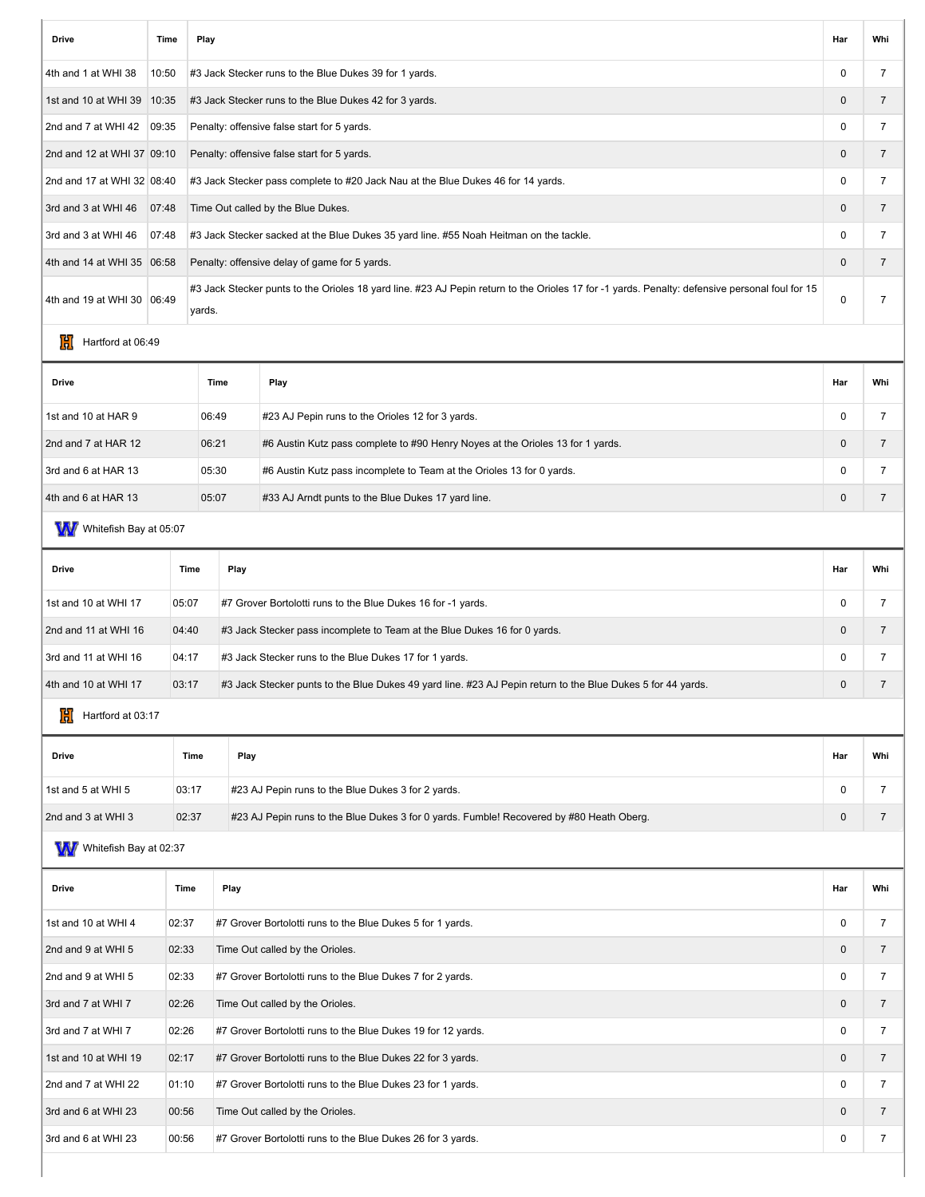| <b>Drive</b>                 | Time                                                   | Play                                                                               |                                                                                                                            |                                                                                                                                                | Har            | Whi            |  |
|------------------------------|--------------------------------------------------------|------------------------------------------------------------------------------------|----------------------------------------------------------------------------------------------------------------------------|------------------------------------------------------------------------------------------------------------------------------------------------|----------------|----------------|--|
| 4th and 1 at WHI 38          | 10:50                                                  |                                                                                    |                                                                                                                            | #3 Jack Stecker runs to the Blue Dukes 39 for 1 yards.                                                                                         | $\mathbf 0$    | 7              |  |
| 1st and 10 at WHI 39   10:35 | #3 Jack Stecker runs to the Blue Dukes 42 for 3 yards. |                                                                                    |                                                                                                                            |                                                                                                                                                | $\mathbf 0$    | 7              |  |
| 2nd and 7 at WHI 42          | 09:35<br>Penalty: offensive false start for 5 yards.   |                                                                                    |                                                                                                                            |                                                                                                                                                | 0              | $\overline{7}$ |  |
| 2nd and 12 at WHI 37 09:10   |                                                        |                                                                                    | Penalty: offensive false start for 5 yards.                                                                                |                                                                                                                                                |                |                |  |
| 2nd and 17 at WHI 32 08:40   |                                                        |                                                                                    | #3 Jack Stecker pass complete to #20 Jack Nau at the Blue Dukes 46 for 14 yards.<br>$\mathbf 0$                            |                                                                                                                                                |                |                |  |
| 3rd and 3 at WHI 46          | 07:48<br>Time Out called by the Blue Dukes.            |                                                                                    |                                                                                                                            |                                                                                                                                                | $\mathbf 0$    | $\overline{7}$ |  |
| 3rd and 3 at WHI 46          | 07:48                                                  |                                                                                    |                                                                                                                            | #3 Jack Stecker sacked at the Blue Dukes 35 yard line. #55 Noah Heitman on the tackle.                                                         | $\mathbf 0$    | 7              |  |
| 4th and 14 at WHI 35 06:58   |                                                        |                                                                                    |                                                                                                                            | Penalty: offensive delay of game for 5 yards.                                                                                                  | $\mathbf 0$    | $\overline{7}$ |  |
| 4th and 19 at WHI 30   06:49 |                                                        | yards.                                                                             |                                                                                                                            | #3 Jack Stecker punts to the Orioles 18 yard line. #23 AJ Pepin return to the Orioles 17 for -1 yards. Penalty: defensive personal foul for 15 | $\mathbf 0$    | $\overline{7}$ |  |
| 191<br>Hartford at 06:49     |                                                        |                                                                                    |                                                                                                                            |                                                                                                                                                |                |                |  |
| <b>Drive</b>                 |                                                        |                                                                                    | Time                                                                                                                       | Play                                                                                                                                           | Har            | Whi            |  |
| 1st and 10 at HAR 9          |                                                        | 06:49                                                                              |                                                                                                                            | #23 AJ Pepin runs to the Orioles 12 for 3 yards.                                                                                               | $\mathbf 0$    | 7              |  |
| 2nd and 7 at HAR 12          |                                                        | 06:21                                                                              |                                                                                                                            | #6 Austin Kutz pass complete to #90 Henry Noyes at the Orioles 13 for 1 yards.                                                                 | $\overline{0}$ | $\overline{7}$ |  |
| 3rd and 6 at HAR 13          |                                                        | 05:30                                                                              |                                                                                                                            | #6 Austin Kutz pass incomplete to Team at the Orioles 13 for 0 yards.                                                                          | $\mathbf 0$    | $\overline{7}$ |  |
| 4th and 6 at HAR 13          |                                                        | 05:07                                                                              |                                                                                                                            | #33 AJ Arndt punts to the Blue Dukes 17 yard line.                                                                                             | $\mathbf 0$    | $\overline{7}$ |  |
| WW Whitefish Bay at 05:07    |                                                        |                                                                                    |                                                                                                                            |                                                                                                                                                |                |                |  |
| <b>Drive</b>                 |                                                        | Time                                                                               | Play                                                                                                                       |                                                                                                                                                | Har            | Whi            |  |
| 1st and 10 at WHI 17         |                                                        | 05:07                                                                              | #7 Grover Bortolotti runs to the Blue Dukes 16 for -1 yards.                                                               |                                                                                                                                                | $\mathbf 0$    | 7              |  |
| 2nd and 11 at WHI 16         |                                                        | 04:40<br>#3 Jack Stecker pass incomplete to Team at the Blue Dukes 16 for 0 yards. |                                                                                                                            | $\mathbf 0$                                                                                                                                    | $\overline{7}$ |                |  |
| 3rd and 11 at WHI 16         |                                                        | 04:17<br>#3 Jack Stecker runs to the Blue Dukes 17 for 1 yards.                    |                                                                                                                            | $\mathbf 0$                                                                                                                                    | 7              |                |  |
| 4th and 10 at WHI 17         |                                                        | 03:17                                                                              | $\mathbf 0$<br>#3 Jack Stecker punts to the Blue Dukes 49 yard line. #23 AJ Pepin return to the Blue Dukes 5 for 44 yards. |                                                                                                                                                |                |                |  |
| 101<br>Hartford at 03:17     |                                                        |                                                                                    |                                                                                                                            |                                                                                                                                                |                |                |  |
| <b>Drive</b>                 |                                                        | Time                                                                               | Play                                                                                                                       |                                                                                                                                                | Har            | Whi            |  |

| Drive              | Time  | Play                                                                                     | Har | Whi |
|--------------------|-------|------------------------------------------------------------------------------------------|-----|-----|
| 1st and 5 at WHI 5 | 03:17 | #23 AJ Pepin runs to the Blue Dukes 3 for 2 yards.                                       |     |     |
| 2nd and 3 at WHI 3 | 02:37 | #23 AJ Pepin runs to the Blue Dukes 3 for 0 yards. Fumble! Recovered by #80 Heath Oberg. |     |     |
|                    |       |                                                                                          |     |     |

W Whitefish Bay at 02:37

| Drive                | Time  | Play                                                         | Har          | Whi |
|----------------------|-------|--------------------------------------------------------------|--------------|-----|
| 1st and 10 at WHI 4  | 02:37 | #7 Grover Bortolotti runs to the Blue Dukes 5 for 1 yards.   | $\Omega$     |     |
| 2nd and 9 at WHI 5   | 02:33 | Time Out called by the Orioles.                              | $\Omega$     |     |
| 2nd and 9 at WHI 5   | 02:33 | #7 Grover Bortolotti runs to the Blue Dukes 7 for 2 yards.   | $\Omega$     |     |
| 3rd and 7 at WHI 7   | 02:26 | Time Out called by the Orioles.                              | $\Omega$     |     |
| 3rd and 7 at WHI 7   | 02:26 | #7 Grover Bortolotti runs to the Blue Dukes 19 for 12 yards. | 0            |     |
| 1st and 10 at WHI 19 | 02:17 | #7 Grover Bortolotti runs to the Blue Dukes 22 for 3 yards.  | $\mathbf{0}$ |     |
| 2nd and 7 at WHI 22  | 01:10 | #7 Grover Bortolotti runs to the Blue Dukes 23 for 1 yards.  | $\Omega$     |     |
| 3rd and 6 at WHI 23  | 00:56 | Time Out called by the Orioles.                              | $\mathbf{0}$ |     |
| 3rd and 6 at WHI 23  | 00:56 | #7 Grover Bortolotti runs to the Blue Dukes 26 for 3 yards.  | 0            |     |